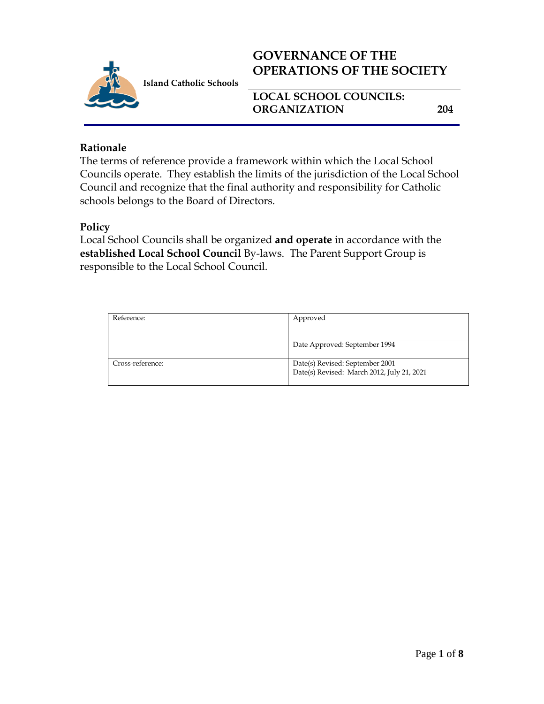

# **GOVERNANCE OF THE OPERATIONS OF THE SOCIETY**

**LOCAL SCHOOL COUNCILS: ORGANIZATION 204**

# **Rationale**

The terms of reference provide a framework within which the Local School Councils operate. They establish the limits of the jurisdiction of the Local School Council and recognize that the final authority and responsibility for Catholic schools belongs to the Board of Directors.

# **Policy**

Local School Councils shall be organized **and operate** in accordance with the **established Local School Council** By-laws. The Parent Support Group is responsible to the Local School Council.

| Approved                                   |
|--------------------------------------------|
|                                            |
| Date Approved: September 1994              |
| Date(s) Revised: September 2001            |
| Date(s) Revised: March 2012, July 21, 2021 |
|                                            |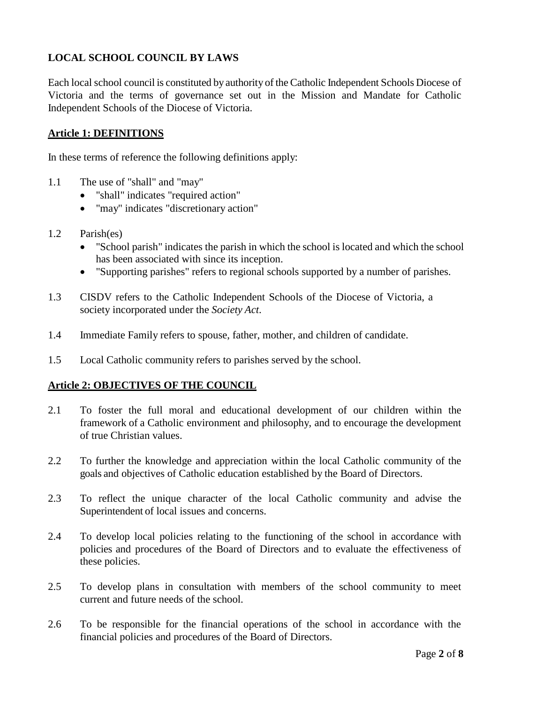## **LOCAL SCHOOL COUNCIL BY LAWS**

Each local school council is constituted by authority of the Catholic Independent Schools Diocese of Victoria and the terms of governance set out in the Mission and Mandate for Catholic Independent Schools of the Diocese of Victoria.

## **Article 1: DEFINITIONS**

In these terms of reference the following definitions apply:

- 1.1 The use of "shall" and "may"
	- "shall" indicates "required action"
	- "may" indicates "discretionary action"
- 1.2 Parish(es)
	- "School parish" indicates the parish in which the school is located and which the school has been associated with since its inception.
	- "Supporting parishes" refers to regional schools supported by a number of parishes.
- 1.3 CISDV refers to the Catholic Independent Schools of the Diocese of Victoria, a society incorporated under the *Society Act*.
- 1.4 Immediate Family refers to spouse, father, mother, and children of candidate.
- 1.5 Local Catholic community refers to parishes served by the school.

#### **Article 2: OBJECTIVES OF THE COUNCIL**

- 2.1 To foster the full moral and educational development of our children within the framework of a Catholic environment and philosophy, and to encourage the development of true Christian values.
- 2.2 To further the knowledge and appreciation within the local Catholic community of the goals and objectives of Catholic education established by the Board of Directors.
- 2.3 To reflect the unique character of the local Catholic community and advise the Superintendent of local issues and concerns.
- 2.4 To develop local policies relating to the functioning of the school in accordance with policies and procedures of the Board of Directors and to evaluate the effectiveness of these policies.
- 2.5 To develop plans in consultation with members of the school community to meet current and future needs of the school.
- 2.6 To be responsible for the financial operations of the school in accordance with the financial policies and procedures of the Board of Directors.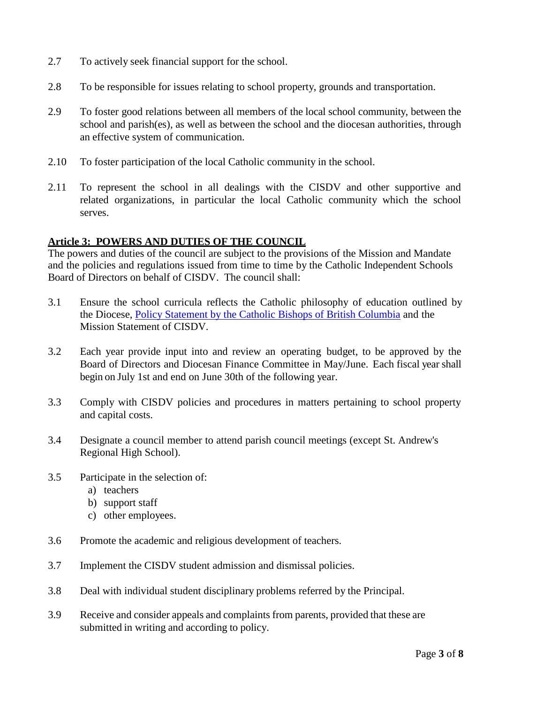- 2.7 To actively seek financial support for the school.
- 2.8 To be responsible for issues relating to school property, grounds and transportation.
- 2.9 To foster good relations between all members of the local school community, between the school and parish(es), as well as between the school and the diocesan authorities, through an effective system of communication.
- 2.10 To foster participation of the local Catholic community in the school.
- 2.11 To represent the school in all dealings with the CISDV and other supportive and related organizations, in particular the local Catholic community which the school serves.

#### **Article 3: POWERS AND DUTIES OF THE COUNCIL**

The powers and duties of the council are subject to the provisions of the Mission and Mandate and the policies and regulations issued from time to time by the Catholic Independent Schools Board of Directors on behalf of CISDV. The council shall:

- 3.1 Ensure the school curricula reflects the Catholic philosophy of education outlined by the Diocese, [Policy Statement by the Catholic Bishops of British Columbia](https://www.cisdv.bc.ca/media/user/docs/BC_Bishops_Pastoral_Letter__Nov_2016.pdf) and the Mission Statement of CISDV.
- 3.2 Each year provide input into and review an operating budget, to be approved by the Board of Directors and Diocesan Finance Committee in May/June. Each fiscal year shall begin on July 1st and end on June 30th of the following year.
- 3.3 Comply with CISDV policies and procedures in matters pertaining to school property and capital costs.
- 3.4 Designate a council member to attend parish council meetings (except St. Andrew's Regional High School).
- 3.5 Participate in the selection of:
	- a) teachers
	- b) support staff
	- c) other employees.
- 3.6 Promote the academic and religious development of teachers.
- 3.7 Implement the CISDV student admission and dismissal policies.
- 3.8 Deal with individual student disciplinary problems referred by the Principal.
- 3.9 Receive and consider appeals and complaints from parents, provided that these are submitted in writing and according to policy.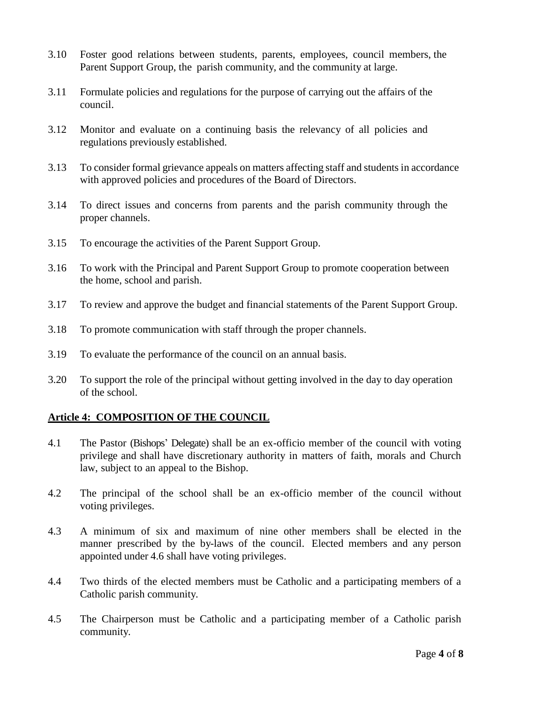- 3.10 Foster good relations between students, parents, employees, council members, the Parent Support Group, the parish community, and the community at large.
- 3.11 Formulate policies and regulations for the purpose of carrying out the affairs of the council.
- 3.12 Monitor and evaluate on a continuing basis the relevancy of all policies and regulations previously established.
- 3.13 To consider formal grievance appeals on matters affecting staff and studentsin accordance with approved policies and procedures of the Board of Directors.
- 3.14 To direct issues and concerns from parents and the parish community through the proper channels.
- 3.15 To encourage the activities of the Parent Support Group.
- 3.16 To work with the Principal and Parent Support Group to promote cooperation between the home, school and parish.
- 3.17 To review and approve the budget and financial statements of the Parent Support Group.
- 3.18 To promote communication with staff through the proper channels.
- 3.19 To evaluate the performance of the council on an annual basis.
- 3.20 To support the role of the principal without getting involved in the day to day operation of the school.

## **Article 4: COMPOSITION OF THE COUNCIL**

- 4.1 The Pastor (Bishops' Delegate) shall be an ex-officio member of the council with voting privilege and shall have discretionary authority in matters of faith, morals and Church law, subject to an appeal to the Bishop.
- 4.2 The principal of the school shall be an ex-officio member of the council without voting privileges.
- 4.3 A minimum of six and maximum of nine other members shall be elected in the manner prescribed by the by-laws of the council. Elected members and any person appointed under 4.6 shall have voting privileges.
- 4.4 Two thirds of the elected members must be Catholic and a participating members of a Catholic parish community.
- 4.5 The Chairperson must be Catholic and a participating member of a Catholic parish community.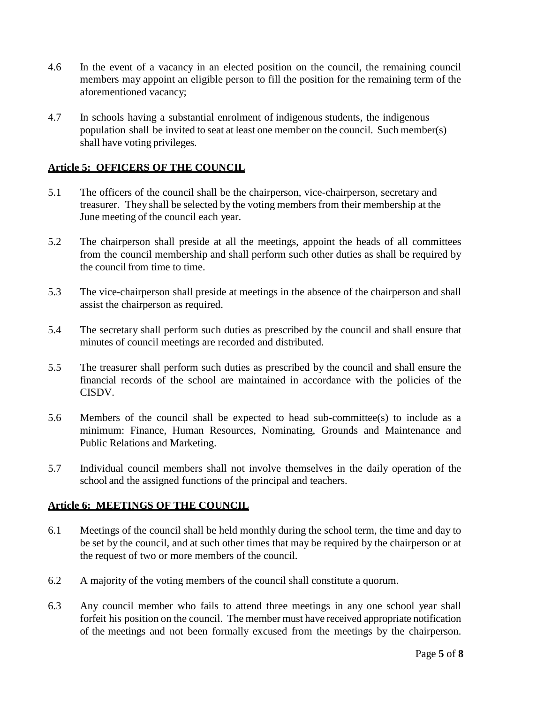- 4.6 In the event of a vacancy in an elected position on the council, the remaining council members may appoint an eligible person to fill the position for the remaining term of the aforementioned vacancy;
- 4.7 In schools having a substantial enrolment of indigenous students, the indigenous population shall be invited to seat at least one member on the council. Such member(s) shall have voting privileges.

## **Article 5: OFFICERS OF THE COUNCIL**

- 5.1 The officers of the council shall be the chairperson, vice-chairperson, secretary and treasurer. They shall be selected by the voting members from their membership at the June meeting of the council each year.
- 5.2 The chairperson shall preside at all the meetings, appoint the heads of all committees from the council membership and shall perform such other duties as shall be required by the council from time to time.
- 5.3 The vice-chairperson shall preside at meetings in the absence of the chairperson and shall assist the chairperson as required.
- 5.4 The secretary shall perform such duties as prescribed by the council and shall ensure that minutes of council meetings are recorded and distributed.
- 5.5 The treasurer shall perform such duties as prescribed by the council and shall ensure the financial records of the school are maintained in accordance with the policies of the CISDV.
- 5.6 Members of the council shall be expected to head sub-committee(s) to include as a minimum: Finance, Human Resources, Nominating, Grounds and Maintenance and Public Relations and Marketing.
- 5.7 Individual council members shall not involve themselves in the daily operation of the school and the assigned functions of the principal and teachers.

#### **Article 6: MEETINGS OF THE COUNCIL**

- 6.1 Meetings of the council shall be held monthly during the school term, the time and day to be set by the council, and at such other times that may be required by the chairperson or at the request of two or more members of the council.
- 6.2 A majority of the voting members of the council shall constitute a quorum.
- 6.3 Any council member who fails to attend three meetings in any one school year shall forfeit his position on the council. The member must have received appropriate notification of the meetings and not been formally excused from the meetings by the chairperson.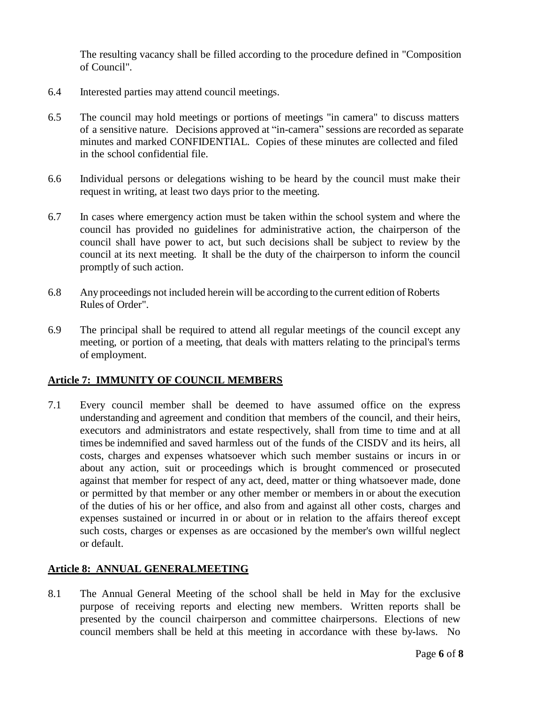The resulting vacancy shall be filled according to the procedure defined in "Composition of Council".

- 6.4 Interested parties may attend council meetings.
- 6.5 The council may hold meetings or portions of meetings "in camera" to discuss matters of a sensitive nature. Decisions approved at "in-camera" sessions are recorded as separate minutes and marked CONFIDENTIAL. Copies of these minutes are collected and filed in the school confidential file.
- 6.6 Individual persons or delegations wishing to be heard by the council must make their request in writing, at least two days prior to the meeting.
- 6.7 In cases where emergency action must be taken within the school system and where the council has provided no guidelines for administrative action, the chairperson of the council shall have power to act, but such decisions shall be subject to review by the council at its next meeting. It shall be the duty of the chairperson to inform the council promptly of such action.
- 6.8 Any proceedings not included herein will be according to the current edition of Roberts Rules of Order".
- 6.9 The principal shall be required to attend all regular meetings of the council except any meeting, or portion of a meeting, that deals with matters relating to the principal's terms of employment.

#### **Article 7: IMMUNITY OF COUNCIL MEMBERS**

7.1 Every council member shall be deemed to have assumed office on the express understanding and agreement and condition that members of the council, and their heirs, executors and administrators and estate respectively, shall from time to time and at all times be indemnified and saved harmless out of the funds of the CISDV and its heirs, all costs, charges and expenses whatsoever which such member sustains or incurs in or about any action, suit or proceedings which is brought commenced or prosecuted against that member for respect of any act, deed, matter or thing whatsoever made, done or permitted by that member or any other member or members in or about the execution of the duties of his or her office, and also from and against all other costs, charges and expenses sustained or incurred in or about or in relation to the affairs thereof except such costs, charges or expenses as are occasioned by the member's own willful neglect or default.

#### **Article 8: ANNUAL GENERALMEETING**

8.1 The Annual General Meeting of the school shall be held in May for the exclusive purpose of receiving reports and electing new members. Written reports shall be presented by the council chairperson and committee chairpersons. Elections of new council members shall be held at this meeting in accordance with these by-laws. No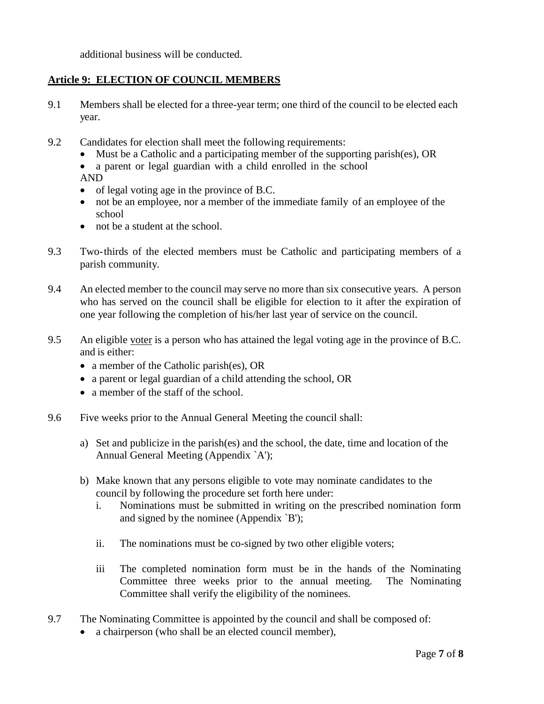additional business will be conducted.

## **Article 9: ELECTION OF COUNCIL MEMBERS**

- 9.1 Members shall be elected for a three-year term; one third of the council to be elected each year.
- 9.2 Candidates for election shall meet the following requirements:
	- Must be a Catholic and a participating member of the supporting parish(es), OR
	- a parent or legal guardian with a child enrolled in the school AND
	- of legal voting age in the province of B.C.
	- not be an employee, nor a member of the immediate family of an employee of the school
	- not be a student at the school.
- 9.3 Two-thirds of the elected members must be Catholic and participating members of a parish community.
- 9.4 An elected member to the council may serve no more than six consecutive years. A person who has served on the council shall be eligible for election to it after the expiration of one year following the completion of his/her last year of service on the council.
- 9.5 An eligible voter is a person who has attained the legal voting age in the province of B.C. and is either:
	- a member of the Catholic parish(es), OR
	- a parent or legal guardian of a child attending the school, OR
	- a member of the staff of the school.
- 9.6 Five weeks prior to the Annual General Meeting the council shall:
	- a) Set and publicize in the parish(es) and the school, the date, time and location of the Annual General Meeting (Appendix `A');
	- b) Make known that any persons eligible to vote may nominate candidates to the council by following the procedure set forth here under:
		- i. Nominations must be submitted in writing on the prescribed nomination form and signed by the nominee (Appendix `B');
		- ii. The nominations must be co-signed by two other eligible voters;
		- iii The completed nomination form must be in the hands of the Nominating Committee three weeks prior to the annual meeting. The Nominating Committee shall verify the eligibility of the nominees.
- 9.7 The Nominating Committee is appointed by the council and shall be composed of:
	- a chairperson (who shall be an elected council member),